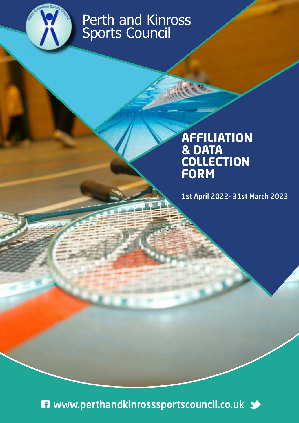

# Perth and Kinross Sports Council

## **AFFILIATION & DATA COLLECTION FORM**

1st April 2022- 31st March 2023

**ET** www.perthandkinrosssportscouncil.co.uk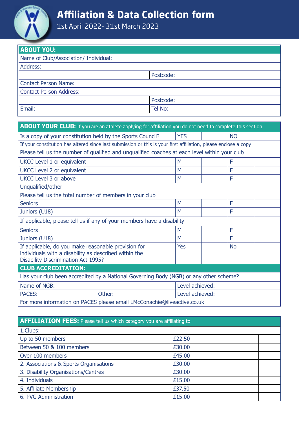

### **Affiliation & Data Collection form**

1st April 2022- 31st March 2023

| <b>ABOUT YOU:</b>                     |           |  |
|---------------------------------------|-----------|--|
| Name of Club/Association/ Individual: |           |  |
| Address:                              |           |  |
|                                       | Postcode: |  |
| <b>Contact Person Name:</b>           |           |  |
| <b>Contact Person Address:</b>        |           |  |
|                                       | Postcode: |  |
| Email:                                | Tel No:   |  |

| <b>ABOUT YOUR CLUB:</b> If you are an athlete applying for affiliation you do not need to complete this section                                            |                 |           |  |  |
|------------------------------------------------------------------------------------------------------------------------------------------------------------|-----------------|-----------|--|--|
| Is a copy of your constitution held by the Sports Council?                                                                                                 | <b>YES</b>      | <b>NO</b> |  |  |
| If your constitution has altered since last submission or this is your first affiliation, please enclose a copy                                            |                 |           |  |  |
| Please tell us the number of qualified and ungualified coaches at each level within your club                                                              |                 |           |  |  |
| UKCC Level 1 or equivalent                                                                                                                                 | M               | F         |  |  |
| <b>UKCC Level 2 or equivalent</b>                                                                                                                          | M               | F         |  |  |
| UKCC Level 3 or above                                                                                                                                      | M               | F         |  |  |
| Unqualified/other                                                                                                                                          |                 |           |  |  |
| Please tell us the total number of members in your club                                                                                                    |                 |           |  |  |
| <b>Seniors</b>                                                                                                                                             | M               | F         |  |  |
| Juniors (U18)                                                                                                                                              | M               | F         |  |  |
| If applicable, please tell us if any of your members have a disability                                                                                     |                 |           |  |  |
| <b>Seniors</b>                                                                                                                                             | M               | F         |  |  |
| Juniors (U18)                                                                                                                                              | M               | F         |  |  |
| If applicable, do you make reasonable provision for<br>individuals with a disability as described within the<br><b>Disability Discrimination Act 1995?</b> | Yes             | <b>No</b> |  |  |
| <b>CLUB ACCREDITATION:</b>                                                                                                                                 |                 |           |  |  |
| Has your club been accredited by a National Governing Body (NGB) or any other scheme?                                                                      |                 |           |  |  |
| Name of NGB:                                                                                                                                               | Level achieved: |           |  |  |
| <b>PACES:</b><br>Other:                                                                                                                                    | Level achieved: |           |  |  |
| For more information on PACES please email LMcConachie@liveactive.co.uk                                                                                    |                 |           |  |  |

#### **AFFILIATION FEES:** Please tell us which category you are affiliating to

| 1.Clubs:                               |        |
|----------------------------------------|--------|
| Up to 50 members                       | £22.50 |
| Between 50 & 100 members               | £30.00 |
| Over 100 members                       | £45.00 |
| 2. Associations & Sports Organisations | £30.00 |
| 3. Disability Organisations/Centres    | £30.00 |
| 4. Individuals                         | £15.00 |
| 5. Affiliate Membership                | £37.50 |
| 6. PVG Administration                  | £15.00 |